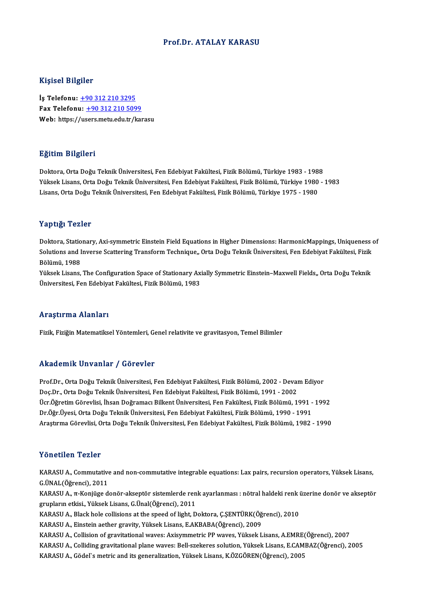#### Prof.Dr. ATALAY KARASU

#### Kişisel Bilgiler

İş Telefonu: +90 312 210 3295 Fax Telefonu:  $+903122105099$ Web: https:/[/us](tel:+90 312 210 3295)[ers.metu.edu.tr/ka](tel:+90 312 210 5099)rasu

#### Eğitim Bilgileri

Doktora,OrtaDoğuTeknikÜniversitesi,FenEdebiyatFakültesi,FizikBölümü,Türkiye 1983 -1988 25.0000 2005.0000<br>Doktora, Orta Doğu Teknik Üniversitesi, Fen Edebiyat Fakültesi, Fizik Bölümü, Türkiye 1983 - 1988<br>Yüksek Lisans, Orta Doğu Teknik Üniversitesi, Fen Edebiyat Fakültesi, Fizik Bölümü, Türkiye 1980 - 1983<br>Li Doktora, Orta Doğu Teknik Üniversitesi, Fen Edebiyat Fakültesi, Fizik Bölümü, Türkiye 1983 - 198<br>Yüksek Lisans, Orta Doğu Teknik Üniversitesi, Fen Edebiyat Fakültesi, Fizik Bölümü, Türkiye 1980<br>Lisans, Orta Doğu Teknik Üni Lisans, Orta Doğu Teknik Üniversitesi, Fen Edebiyat Fakültesi, Fizik Bölümü, Türkiye 1975 - 1980<br>Yaptığı Tezler

Doktora, Stationary, Axi-symmetric Einstein Field Equations in Higher Dimensions: HarmonicMappings, Uniqueness of Tuptigi Tenier<br>Doktora, Stationary, Axi-symmetric Einstein Field Equations in Higher Dimensions: HarmonicMappings, Uniqueness<br>Solutions and Inverse Scattering Transform Technique,, Orta Doğu Teknik Üniversitesi, Fen Edebiy Doktora, Statio<br>Solutions and I<br>Bölümü, 1988<br><sup>Vülmel: Lisang</sup> Solutions and Inverse Scattering Transform Technique,, Orta Doğu Teknik Üniversitesi, Fen Edebiyat Fakültesi, Fizik<br>Bölümü, 1988<br>Yüksek Lisans, The Configuration Space of Stationary Axially Symmetric Einstein–Maxwell Field

Bölümü, 1988<br>Yüksek Lisans, The Configuration Space of Stationary Axially Symmetric Einstein–Maxwell Fields,, Orta Doğu Teknik<br>Üniversitesi, Fen Edebiyat Fakültesi, Fizik Bölümü, 1983

#### Araştırma Alanları

Fizik,FiziğinMatematikselYöntemleri,Genel relativite ve gravitasyon,TemelBilimler

#### Akademik Unvanlar / Görevler

Akademik Unvanlar / Görevler<br>Prof.Dr., Orta Doğu Teknik Üniversitesi, Fen Edebiyat Fakültesi, Fizik Bölümü, 2002 - Devam Ediyor<br>Des Dr., Orta Doğu Teknik Üniversitesi, Fen Edebiyat Fakültesi, Fizik Bölümü, 1991, 2002 rrittat omrit "On varitar" / "dör ovror"<br>Prof.Dr., Orta Doğu Teknik Üniversitesi, Fen Edebiyat Fakültesi, Fizik Bölümü, 2002 - Devai<br>Doç.Dr., Orta Doğu Teknik Üniversitesi, Fen Edebiyat Fakültesi, Fizik Bölümü, 1991 - 2002 Prof.Dr., Orta Doğu Teknik Üniversitesi, Fen Edebiyat Fakültesi, Fizik Bölümü, 2002 - Devam Ediyor<br>Doç.Dr., Orta Doğu Teknik Üniversitesi, Fen Edebiyat Fakültesi, Fizik Bölümü, 1991 - 2002<br>Ücr.Öğretim Görevlisi, İhsan Doğr Doç.Dr., Orta Doğu Teknik Üniversitesi, Fen Edebiyat Fakültesi, Fizik Bölümü, 1991 - 2002<br>Ücr.Öğretim Görevlisi, İhsan Doğramacı Bilkent Üniversitesi, Fen Fakültesi, Fizik Bölümü, 1991 - 1992<br>Dr.Öğr.Üyesi, Orta Doğu Teknik AraştırmaGörevlisi,OrtaDoğuTeknikÜniversitesi,FenEdebiyatFakültesi,FizikBölümü,1982 -1990

#### Yönetilen Tezler

Yönetilen Tezler<br>KARASU A., Commutative and non-commutative integrable equations: Lax pairs, recursion operators, Yüksek Lisans,<br>C.ÜNAL(Öğrensi), 2011 TORUCHUR TURICI<br>KARASU A., Commutative<br>G.ÜNAL(Öğrenci), 2011<br>KARASU A. T. Koniüze d KARASU A., Commutative and non-commutative integrable equations: Lax pairs, recursion operators, Yüksek Lisans,<br>G.ÜNAL(Öğrenci), 2011<br>KARASU A., π-Konjüge donör-akseptör sistemlerde renk ayarlanması : nötral haldeki renk

G.ÜNAL(Öğrenci), 2011<br>KARASU A., π-Konjüge donör-akseptör sistemlerde ren<br>grupların etkisi., Yüksek Lisans, G.Ünal(Öğrenci), 2011<br>KARASU A. Blask bole sellisions at the speed of lisht. D KARASU A., π-Konjüge donör-akseptör sistemlerde renk ayarlanması : nötral haldeki renk i<br>grupların etkisi., Yüksek Lisans, G.Ünal(Öğrenci), 2011<br>KARASU A., Black hole collisions at the speed of light, Doktora, Ç.ŞENTÜRK(Ö grupların etkisi., Yüksek Lisans, G.Ünal(Öğrenci), 2011<br>KARASU A., Black hole collisions at the speed of light, Doktora, Ç.ŞENTÜRK(Öğrenci), 2010<br>KARASU A., Einstein aether gravity, Yüksek Lisans, E.AKBABA(Öğrenci), 2009

KARASU A., Collision of gravitational waves: Axisymmetric PP waves, Yüksek Lisans, A.EMRE(Öğrenci), 2007

KARASU A., Colliding gravitational plane waves: Bell-szekeres solution, Yüksek Lisans, E.CAMBAZ(Öğrenci), 2005

KARASUA.,Gödel`smetric and its generalization,YüksekLisans,K.ÖZGÖREN(Öğrenci),2005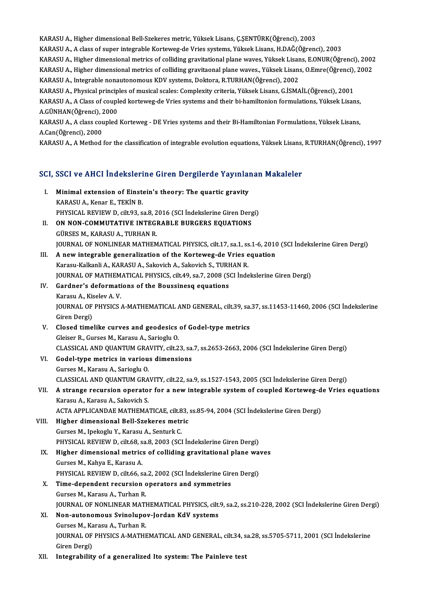KARASU A., Higher dimensional Bell-Szekeres metric, Yüksek Lisans, Ç.ŞENTÜRK(Öğrenci), 2003<br>KARASU A., A elase of sunar integrable Korteweg de Vries systeme Yüksek Lisans, DAČ(Öğrenci)

KARASU A., Higher dimensional Bell-Szekeres metric, Yüksek Lisans, Ç.ŞENTÜRK(Öğrenci), 2003<br>KARASU A., A class of super integrable Korteweg-de Vries systems, Yüksek Lisans, H.DAĞ(Öğrenci), 2003<br>KARASU A., Higher dimensiona

KARASU A., Higher dimensional Bell-Szekeres metric, Yüksek Lisans, Ç.ŞENTÜRK(Öğrenci), 2003<br>KARASU A., A class of super integrable Korteweg-de Vries systems, Yüksek Lisans, H.DAĞ(Öğrenci), 2003<br>KARASU A., Higher dimensiona KARASU A., A class of super integrable Korteweg-de Vries systems, Yüksek Lisans, H.DAĞ(Öğrenci), 2003<br>KARASU A., Higher dimensional metrics of colliding gravitational plane waves, Yüksek Lisans, E.ONUR(Öğrenci), 2002<br>KARAS KARASU A., Higher dimensional metrics of colliding gravitational plane waves, Yüksek Lisan<br>KARASU A., Higher dimensional metrics of colliding gravitaonal plane waves., Yüksek Lisan:<br>KARASU A., Integrable nonautonomous KDV

KARASU A., Higher dimensional metrics of colliding gravitaonal plane waves., Yüksek Lisans, O.Emre(Öğrenci), 2002<br>KARASU A., Integrable nonautonomous KDV systems, Doktora, R.TURHAN(Öğrenci), 2002<br>KARASU A., Physical princi

KARASU A., Integrable nonautonomous KDV systems, Doktora, R.TURHAN(Öğrenci), 2002<br>KARASU A., Physical principles of musical scales: Complexity criteria, Yüksek Lisans, G.İSMAİL(Öğrenci), 2001<br>KARASU A., A Class of coupled KARASU A., Physical princip<br>KARASU A., A Class of coupl<br>A.GÜNHAN(Öğrenci), 2000<br>KARASU A. A class coupled KARASU A., A Class of coupled korteweg-de Vries systems and their bi-hamiltonion formulations, Yüksek Lisans,<br>A.GÜNHAN(Öğrenci), 2000<br>KARASU A., A class coupled Korteweg - DE Vries systems and their Bi-Hamiltonian Formulat

A.GÜNHAN(Öğrenci), 2000<br>KARASU A., A class coupled Korteweg - DE Vries systems and their Bi-Hamiltonian Formulations, Yüksek Lisans,<br>A.Can(Öğrenci), 2000

KARASU A., A Method for the classification of integrable evolution equations, Yüksek Lisans, R.TURHAN(Öğrenci), 1997

# KAKASU A., A Method for the classification of integrable evolution equations, ruksek Lisans,<br>SCI, SSCI ve AHCI İndekslerine Giren Dergilerde Yayınlanan Makaleler

- CI, SSCI ve AHCI İndekslerine Giren Dergilerde Yayınlar<br>I. Minimal extension of Einstein's theory: The quartic gravity I. Minimal extension of Einstein's theory: The quartic gravity<br>KARASU A., Kenar E., TEKİN B. Minimal extension of Einstein's theory: The quartic gravity<br>KARASU A., Kenar E., TEKİN B.<br>PHYSICAL REVIEW D, cilt.93, sa.8, 2016 (SCI İndekslerine Giren Dergi)<br>ON NON COMMUTATIVE INTECRABLE BURGERS FOUATIONS
- II. ON NON-COMMUTATIVE INTEGRABLE BURGERS EQUATIONS<br>GÜRSES M., KARASU A., TURHAN R. PHYSICAL REVIEW D, cilt.93, sa.8, 2<br>**ON NON-COMMUTATIVE INTEG**<br>GÜRSES M., KARASU A., TURHAN R.<br>JOUPNAL OF NONLINEAP MATHEM ON NON-COMMUTATIVE INTEGRABLE BURGERS EQUATIONS<br>GÜRSES M., KARASU A., TURHAN R.<br>JOURNAL OF NONLINEAR MATHEMATICAL PHYSICS, cilt.17, sa.1, ss.1-6, 2010 (SCI İndekslerine Giren Dergi)<br>A now integrable generaligation of the K
- III. A new integrable generalization of the Korteweg-de Vries equation Karasu-Kalkanli A., KARASU A., Sakovich A., Sakovich S., TURHAN R. JOURNAL OF NONLINEAR MATHEMATICAL PHYSICS, cilt.17, sa.1, ss<br>A new integrable generalization of the Korteweg-de Vries e<br>Karasu-Kalkanli A., KARASU A., Sakovich A., Sakovich S., TURHAN R.<br>JOUPMAL OF MATHEMATICAL PHYSICS, si A new integrable generalization of the Korteweg-de Vries equation<br>Karasu-Kalkanli A., KARASU A., Sakovich A., Sakovich S., TURHAN R.<br>JOURNAL OF MATHEMATICAL PHYSICS, cilt.49, sa.7, 2008 (SCI İndekslerine Giren Dergi)<br>Cardn
- IV. Gardner's deformations of the Boussinesq equations **JOURNAL OF MATHEM<br>Gardner's deformati<br>Karasu A., Kiselev A. V.<br>JOUPNAL OF PHYSICS** Gardner's deformations of the Boussinesq equations<br>Karasu A., Kiselev A. V.<br>JOURNAL OF PHYSICS A-MATHEMATICAL AND GENERAL, cilt.39, sa.37, ss.11453-11460, 2006 (SCI İndekslerine<br>Ciron Dergi) Karasu A., Kis<br>JOURNAL OF<br>Giren Dergi)<br>Closed time Giren Dergi)<br>V. Closed timelike curves and geodesics of Godel-type metrics
- Gleiser R., Gurses M., Karasu A., Sarioglu O. Closed timelike curves and geodesics of Godel-type metrics<br>Gleiser R., Gurses M., Karasu A., Sarioglu O.<br>CLASSICAL AND QUANTUM GRAVITY, cilt.23, sa.7, ss.2653-2663, 2006 (SCI İndekslerine Giren Dergi)<br>Codel tune metrise in
- VI. Godel-type metrics in various dimensions<br>Gurses M., Karasu A., Sarioglu O. CLASSICAL AND QUANTUM GRA<br>Godel-type metrics in variou<br>Gurses M., Karasu A., Sarioglu O.<br>GLASSICAL AND QUANTUM CRA CLASSICALANDQUANTUMGRAVITY, cilt.22, sa.9, ss.1527-1543,2005 (SCI İndekslerineGirenDergi) Gurses M., Karasu A., Sarioglu O.<br>CLASSICAL AND QUANTUM GRAVITY, cilt.22, sa.9, ss.1527-1543, 2005 (SCI İndekslerine Giren Dergi)<br>VII. A strange recursion operator for a new integrable system of coupled Korteweg-de Vri

## CLASSICAL AND QUANTUM GRA<br>**A strange recursion operato:**<br>Karasu A., Karasu A., Sakovich S.<br>ACTA APPLICANDAE MATUEMA: A strange recursion operator for a new integrable system of coupled Korteweg-d<br>Karasu A., Karasu A., Sakovich S.<br>ACTA APPLICANDAE MATHEMATICAE, cilt.83, ss.85-94, 2004 (SCI İndekslerine Giren Dergi)<br>Higher dimensional Bell Karasu A., Karasu A., Sakovich S.<br>ACTA APPLICANDAE MATHEMATICAE, cilt.83, ss.85-94, 2004 (SCI İndekslerine Giren Dergi)<br>VIII. Higher dimensional Bell-Szekeres metric

GursesM., IpekogluY.,KarasuA.,SenturkC. PHYSICAL REVIEW D, cilt.68, sa.8, 2003 (SCI İndekslerine Giren Dergi) Gurses M., Ipekoglu Y., Karasu A., Senturk C.<br>PHYSICAL REVIEW D, cilt.68, sa.8, 2003 (SCI indekslerine Giren Dergi)<br>IX. Higher dimensional metrics of colliding gravitational plane waves<br>Curses M. Kabya E. Karasu A.

## PHYSICAL REVIEW D, cilt.68, s<br>Higher dimensional metric:<br>Gurses M., Kahya E., Karasu A.<br>PHYSICAL PEVIEW D, cilt.66, c Higher dimensional metrics of colliding gravitational plane wa<br>Gurses M., Kahya E., Karasu A.<br>PHYSICAL REVIEW D, cilt.66, sa.2, 2002 (SCI İndekslerine Giren Dergi)<br>Time denendent regursion energiare and summetries Gurses M., Kahya E., Karasu A.<br>PHYSICAL REVIEW D, cilt.66, sa.2, 2002 (SCI Indekslerine Gironometries<br>X. Time-dependent recursion operators and symmetries

## PHYSICAL REVIEW D, cilt.66, sa.<br>Time-dependent recursion c<br>Gurses M., Karasu A., Turhan R.<br>JOUPNAL OF NONI INFAR MATI Gurses M., Karasu A., Turhan R.<br>JOURNAL OF NONLINEAR MATHEMATICAL PHYSICS, cilt.9, sa.2, ss.210-228, 2002 (SCI İndekslerine Giren Dergi) Gurses M., Karasu A., Turhan R.<br>JOURNAL OF NONLINEAR MATHEMATICAL PHYSICS, cilt.<br>XI. Non-autonomous Svinolupov-Jordan KdV systems<br>Curses M. Karasu A. Turban P.

- **JOURNAL OF NONLINEAR MATH<br>Non-autonomous Svinolupo<br>Gurses M., Karasu A., Turhan R.<br>JOUPNAL OF PHYSICS A MATHE** Non-autonomous Svinolupov-Jordan KdV systems<br>Gurses M., Karasu A., Turhan R.<br>JOURNAL OF PHYSICS A-MATHEMATICAL AND GENERAL, cilt.34, sa.28, ss.5705-5711, 2001 (SCI İndekslerine<br>Ciron Dergi) Gurses M., Ka<br>JOURNAL OF<br>Giren Dergi)<br>Integrability
- Giren Dergi)<br>XII. Integrability of a generalized Ito system: The Painleve test